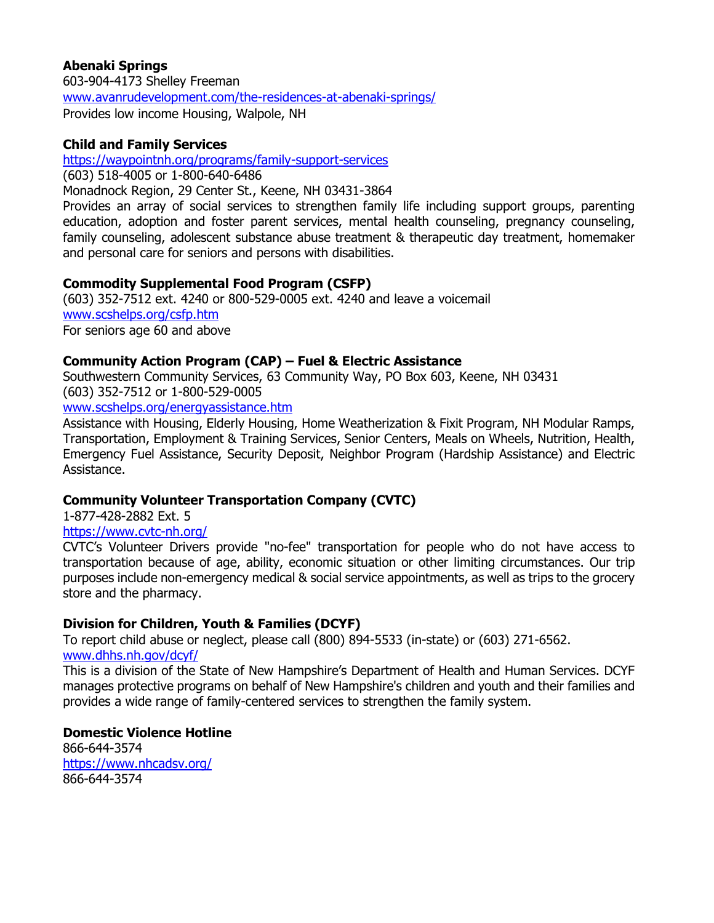### **Abenaki Springs**

603-904-4173 Shelley Freeman [www.avanrudevelopment.com/the-residences-at-abenaki-springs/](https://www.avanrudevelopment.com/the-residences-at-abenaki-springs/) Provides low income Housing, Walpole, NH

### **Child and Family Services**

<https://waypointnh.org/programs/family-support-services>

(603) 518-4005 or 1-800-640-6486

Monadnock Region, 29 Center St., Keene, NH 03431-3864

Provides an array of social services to strengthen family life including support groups, parenting education, adoption and foster parent services, mental health counseling, pregnancy counseling, family counseling, adolescent substance abuse treatment & therapeutic day treatment, homemaker and personal care for seniors and persons with disabilities.

#### **Commodity Supplemental Food Program (CSFP)**

(603) 352-7512 ext. 4240 or 800-529-0005 ext. 4240 and leave a voicemail [www.scshelps.org/csfp.htm](http://www.scshelps.org/csfp.htm) For seniors age 60 and above

### **Community Action Program (CAP) – Fuel & Electric Assistance**

Southwestern Community Services, 63 Community Way, PO Box 603, Keene, NH 03431 (603) 352-7512 or 1-800-529-0005

[www.scshelps.org/energyassistance.htm](http://www.scshelps.org/energyassistance.htm)

Assistance with Housing, Elderly Housing, Home Weatherization & Fixit Program, NH Modular Ramps, Transportation, Employment & Training Services, Senior Centers, Meals on Wheels, Nutrition, Health, Emergency Fuel Assistance, Security Deposit, Neighbor Program (Hardship Assistance) and Electric Assistance.

### **Community Volunteer Transportation Company (CVTC)**

1-877-428-2882 Ext. 5

<https://www.cvtc-nh.org/>

CVTC's Volunteer Drivers provide "no-fee" transportation for people who do not have access to transportation because of age, ability, economic situation or other limiting circumstances. Our trip purposes include non-emergency medical & social service appointments, as well as trips to the grocery store and the pharmacy.

### **Division for Children, Youth & Families (DCYF)**

To report child abuse or neglect, please call (800) 894-5533 (in-state) or (603) 271-6562. [www.dhhs.nh.gov/dcyf/](http://www.dhhs.nh.gov/dcyf/)

This is a division of the State of New Hampshire's Department of Health and Human Services. DCYF manages protective programs on behalf of New Hampshire's children and youth and their families and provides a wide range of family-centered services to strengthen the family system.

#### **Domestic Violence Hotline**

866-644-3574 <https://www.nhcadsv.org/> 866-644-3574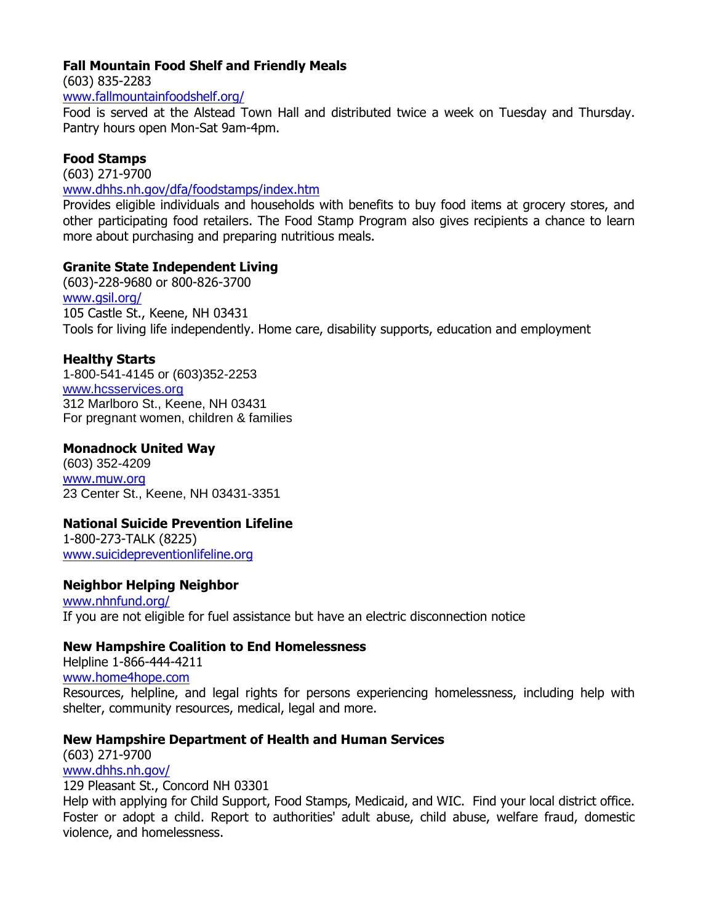### **Fall Mountain Food Shelf and Friendly Meals**

(603) 835-2283

[www.fallmountainfoodshelf.org/](https://www.fallmountainfoodshelf.org/)

Food is served at the Alstead Town Hall and distributed twice a week on Tuesday and Thursday. Pantry hours open Mon-Sat 9am-4pm.

## **Food Stamps**

(603) 271-9700

[www.dhhs.nh.gov/dfa/foodstamps/index.htm](http://www.dhhs.nh.gov/dfa/foodstamps/index.htm)

Provides eligible individuals and households with benefits to buy food items at grocery stores, and other participating food retailers. The Food Stamp Program also gives recipients a chance to learn more about purchasing and preparing nutritious meals.

### **Granite State Independent Living**

(603)-228-9680 or 800-826-3700 [www.gsil.org/](https://www.gsil.org/) 105 Castle St., Keene, NH 03431 Tools for living life independently. Home care, disability supports, education and employment

## **Healthy Starts**

1-800-541-4145 or (603)352-2253 [www.hcsservices.org](http://www.hcsservices.org/) 312 Marlboro St., Keene, NH 03431 For pregnant women, children & families

### **Monadnock United Way**

(603) 352-4209 www.muw.org 23 Center St., Keene, NH 03431-3351

## **National Suicide Prevention Lifeline**

1-800-273-TALK (8225) [www.suicidepreventionlifeline.org](https://suicidepreventionlifeline.org/)

### **Neighbor Helping Neighbor**

[www.nhnfund.org/](http://www.nhnfund.org/) If you are not eligible for fuel assistance but have an electric disconnection notice

### **New Hampshire Coalition to End Homelessness**

Helpline 1-866-444-4211

[www.home4hope.com](http://www.home4hope.com/)

Resources, helpline, and legal rights for persons experiencing homelessness, including help with shelter, community resources, medical, legal and more.

## **New Hampshire Department of Health and Human Services**

(603) 271-9700 [www.dhhs.nh.gov/](http://www.dhhs.nh.gov/)

129 Pleasant St., Concord NH 03301

Help with applying for Child Support, Food Stamps, Medicaid, and WIC. Find your local district office. Foster or adopt a child. Report to authorities' adult abuse, child abuse, welfare fraud, domestic violence, and homelessness.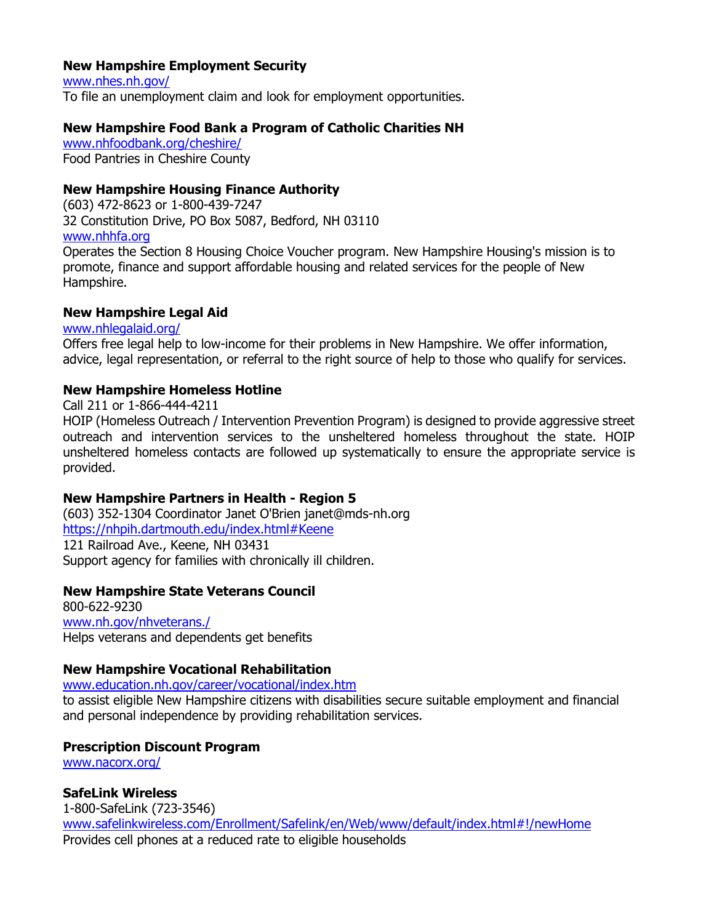### **New Hampshire Employment Security**

www.nhes.nh.gov/ To file an unemployment claim and look for employment opportunities.

### **New Hampshire Food Bank a Program of Catholic Charities NH**

[www.nhfoodbank.org/cheshire/](https://www.nhfoodbank.org/cheshire/) Food Pantries in Cheshire County

### **New Hampshire Housing Finance Authority**

(603) 472-8623 or 1-800-439-7247 32 Constitution Drive, PO Box 5087, Bedford, NH 03110 www.nhhfa.org

Operates the Section 8 Housing Choice Voucher program. New Hampshire Housing's mission is to promote, finance and support affordable housing and related services for the people of New Hampshire.

### **New Hampshire Legal Aid**

www.nhlegalaid.org/

Offers free legal help to low-income for their problems in New Hampshire. We offer information, advice, legal representation, or referral to the right source of help to those who qualify for services.

### **New Hampshire Homeless Hotline**

Call 211 or 1-866-444-4211

HOIP (Homeless Outreach / Intervention Prevention Program) is designed to provide aggressive street outreach and intervention services to the unsheltered homeless throughout the state. HOIP unsheltered homeless contacts are followed up systematically to ensure the appropriate service is provided.

## **New Hampshire Partners in Health - Region 5**

(603) 352-1304 Coordinator Janet O'Brien janet@mds-nh.org <https://nhpih.dartmouth.edu/index.html#Keene> 121 Railroad Ave., Keene, NH 03431 Support agency for families with chronically ill children.

### **New Hampshire State Veterans Council**

800-622-9230 [www.nh.gov/nhveterans./](http://www.nh.gov/nhveterans./) Helps veterans and dependents get benefits

### **New Hampshire Vocational Rehabilitation**

[www.education.nh.gov/career/vocational/index.htm](https://www.education.nh.gov/career/vocational/index.htm)

to assist eligible New Hampshire citizens with disabilities secure suitable employment and financial and personal independence by providing rehabilitation services.

## **Prescription Discount Program**

[www.nacorx.org/](http://www.nacorx.org/)

## **SafeLink Wireless**

1-800-SafeLink (723-3546) [www.safelinkwireless.com/Enrollment/Safelink/en/Web/www/default/index.html#!/newHome](https://www.safelinkwireless.com/Enrollment/Safelink/en/Web/www/default/index.html#!/newHome) Provides cell phones at a reduced rate to eligible households